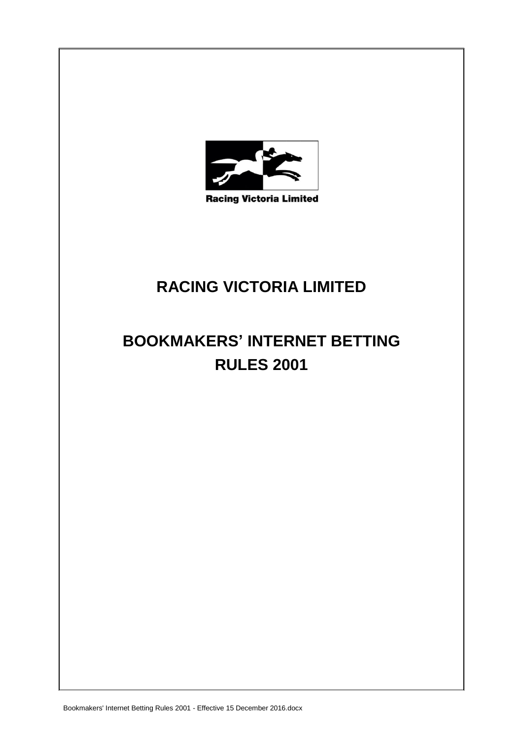

**Racing Victoria Limited** 

# **RACING VICTORIA LIMITED**

# **BOOKMAKERS' INTERNET BETTING RULES 2001**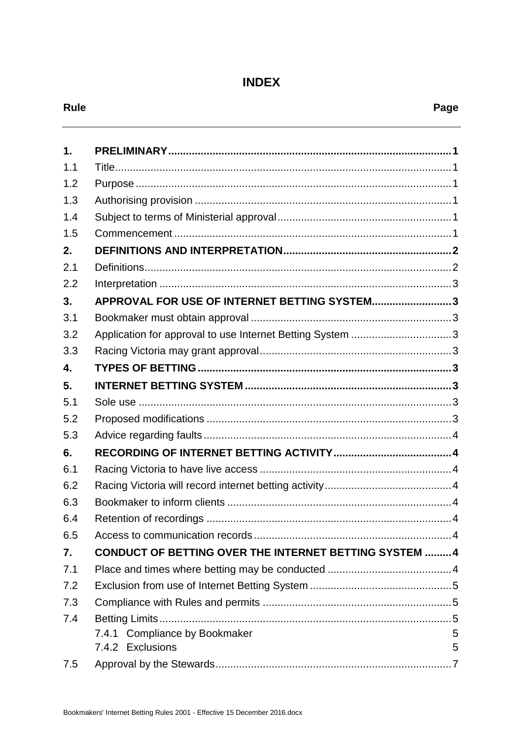# **INDEX**

| ×<br>v<br>× |
|-------------|
|-------------|

| 1.  |                                                               |  |  |
|-----|---------------------------------------------------------------|--|--|
| 1.1 |                                                               |  |  |
| 1.2 |                                                               |  |  |
| 1.3 |                                                               |  |  |
| 1.4 |                                                               |  |  |
| 1.5 |                                                               |  |  |
| 2.  |                                                               |  |  |
| 2.1 |                                                               |  |  |
| 2.2 |                                                               |  |  |
| 3.  | APPROVAL FOR USE OF INTERNET BETTING SYSTEM3                  |  |  |
| 3.1 |                                                               |  |  |
| 3.2 | Application for approval to use Internet Betting System 3     |  |  |
| 3.3 |                                                               |  |  |
| 4.  |                                                               |  |  |
| 5.  |                                                               |  |  |
| 5.1 |                                                               |  |  |
| 5.2 |                                                               |  |  |
| 5.3 |                                                               |  |  |
| 6.  |                                                               |  |  |
| 6.1 |                                                               |  |  |
| 6.2 |                                                               |  |  |
| 6.3 |                                                               |  |  |
| 6.4 |                                                               |  |  |
| 6.5 |                                                               |  |  |
| 7.  | <b>CONDUCT OF BETTING OVER THE INTERNET BETTING SYSTEM  4</b> |  |  |
| 7.1 |                                                               |  |  |
| 7.2 |                                                               |  |  |
| 7.3 |                                                               |  |  |
| 7.4 |                                                               |  |  |
|     | 7.4.1 Compliance by Bookmaker<br>5                            |  |  |
|     | 7.4.2 Exclusions<br>5                                         |  |  |
| 7.5 |                                                               |  |  |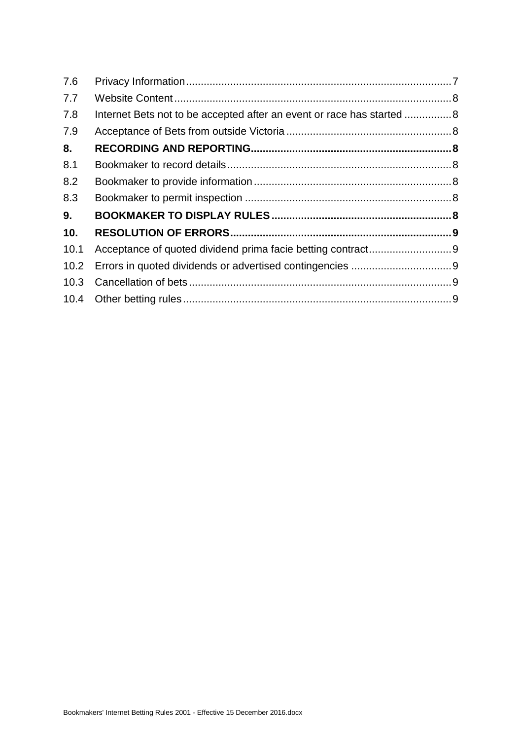| 7.6  |                                                                        |  |
|------|------------------------------------------------------------------------|--|
| 7.7  |                                                                        |  |
| 7.8  | Internet Bets not to be accepted after an event or race has started  8 |  |
| 7.9  |                                                                        |  |
| 8.   |                                                                        |  |
| 8.1  |                                                                        |  |
| 8.2  |                                                                        |  |
| 8.3  |                                                                        |  |
| 9.   |                                                                        |  |
| 10.  |                                                                        |  |
| 10.1 |                                                                        |  |
| 10.2 |                                                                        |  |
| 10.3 |                                                                        |  |
|      |                                                                        |  |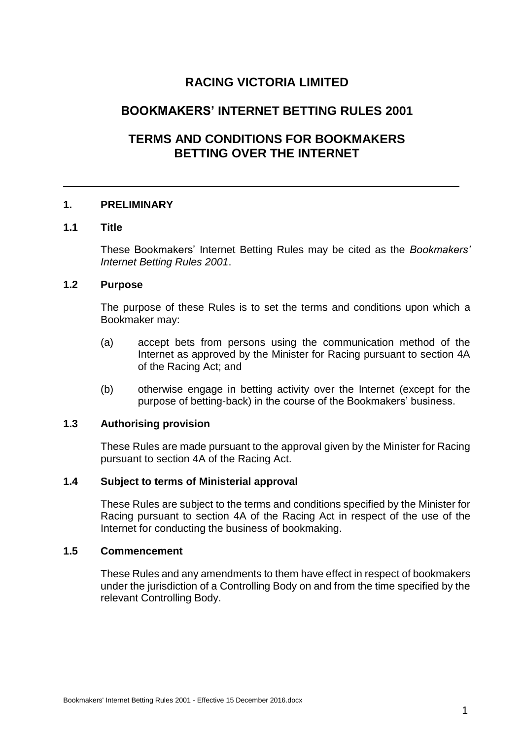# **RACING VICTORIA LIMITED**

# **BOOKMAKERS' INTERNET BETTING RULES 2001**

# **TERMS AND CONDITIONS FOR BOOKMAKERS BETTING OVER THE INTERNET**

## **1. PRELIMINARY**

# **1.1 Title**

These Bookmakers' Internet Betting Rules may be cited as the *Bookmakers' Internet Betting Rules 2001*.

## **1.2 Purpose**

The purpose of these Rules is to set the terms and conditions upon which a Bookmaker may:

- (a) accept bets from persons using the communication method of the Internet as approved by the Minister for Racing pursuant to section 4A of the Racing Act; and
- (b) otherwise engage in betting activity over the Internet (except for the purpose of betting-back) in the course of the Bookmakers' business.

# **1.3 Authorising provision**

These Rules are made pursuant to the approval given by the Minister for Racing pursuant to section 4A of the Racing Act.

# **1.4 Subject to terms of Ministerial approval**

These Rules are subject to the terms and conditions specified by the Minister for Racing pursuant to section 4A of the Racing Act in respect of the use of the Internet for conducting the business of bookmaking.

#### **1.5 Commencement**

These Rules and any amendments to them have effect in respect of bookmakers under the jurisdiction of a Controlling Body on and from the time specified by the relevant Controlling Body.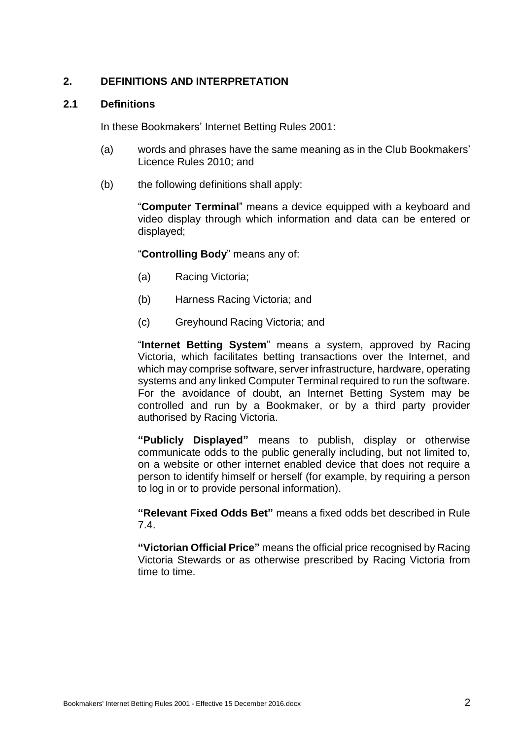# **2. DEFINITIONS AND INTERPRETATION**

#### **2.1 Definitions**

In these Bookmakers' Internet Betting Rules 2001:

- (a) words and phrases have the same meaning as in the Club Bookmakers' Licence Rules 2010; and
- (b) the following definitions shall apply:

"**Computer Terminal**" means a device equipped with a keyboard and video display through which information and data can be entered or displayed;

"**Controlling Body**" means any of:

- (a) Racing Victoria;
- (b) Harness Racing Victoria; and
- (c) Greyhound Racing Victoria; and

"**Internet Betting System**" means a system, approved by Racing Victoria, which facilitates betting transactions over the Internet, and which may comprise software, server infrastructure, hardware, operating systems and any linked Computer Terminal required to run the software. For the avoidance of doubt, an Internet Betting System may be controlled and run by a Bookmaker, or by a third party provider authorised by Racing Victoria.

**"Publicly Displayed"** means to publish, display or otherwise communicate odds to the public generally including, but not limited to, on a website or other internet enabled device that does not require a person to identify himself or herself (for example, by requiring a person to log in or to provide personal information).

**"Relevant Fixed Odds Bet"** means a fixed odds bet described in Rule 7.4.

**"Victorian Official Price"** means the official price recognised by Racing Victoria Stewards or as otherwise prescribed by Racing Victoria from time to time.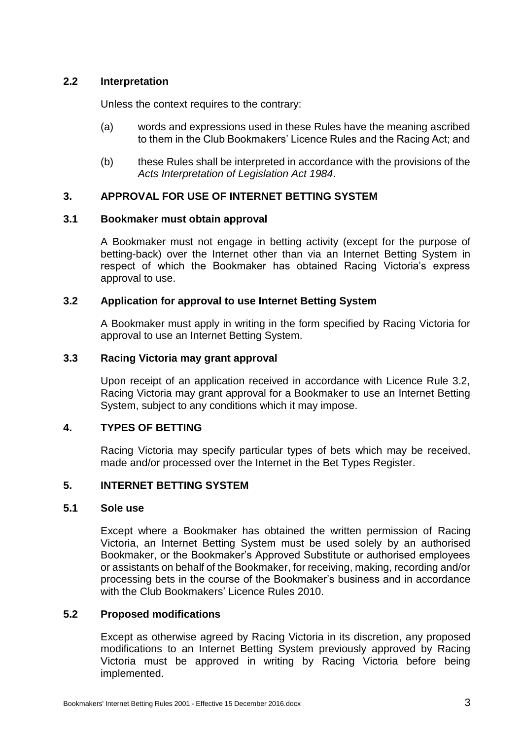# **2.2 Interpretation**

Unless the context requires to the contrary:

- (a) words and expressions used in these Rules have the meaning ascribed to them in the Club Bookmakers' Licence Rules and the Racing Act; and
- (b) these Rules shall be interpreted in accordance with the provisions of the *Acts Interpretation of Legislation Act 1984*.

# **3. APPROVAL FOR USE OF INTERNET BETTING SYSTEM**

#### **3.1 Bookmaker must obtain approval**

A Bookmaker must not engage in betting activity (except for the purpose of betting-back) over the Internet other than via an Internet Betting System in respect of which the Bookmaker has obtained Racing Victoria's express approval to use.

# **3.2 Application for approval to use Internet Betting System**

A Bookmaker must apply in writing in the form specified by Racing Victoria for approval to use an Internet Betting System.

#### **3.3 Racing Victoria may grant approval**

Upon receipt of an application received in accordance with Licence Rule 3.2, Racing Victoria may grant approval for a Bookmaker to use an Internet Betting System, subject to any conditions which it may impose.

# **4. TYPES OF BETTING**

Racing Victoria may specify particular types of bets which may be received, made and/or processed over the Internet in the Bet Types Register.

#### **5. INTERNET BETTING SYSTEM**

## **5.1 Sole use**

Except where a Bookmaker has obtained the written permission of Racing Victoria, an Internet Betting System must be used solely by an authorised Bookmaker, or the Bookmaker's Approved Substitute or authorised employees or assistants on behalf of the Bookmaker, for receiving, making, recording and/or processing bets in the course of the Bookmaker's business and in accordance with the Club Bookmakers' Licence Rules 2010.

# **5.2 Proposed modifications**

Except as otherwise agreed by Racing Victoria in its discretion, any proposed modifications to an Internet Betting System previously approved by Racing Victoria must be approved in writing by Racing Victoria before being implemented.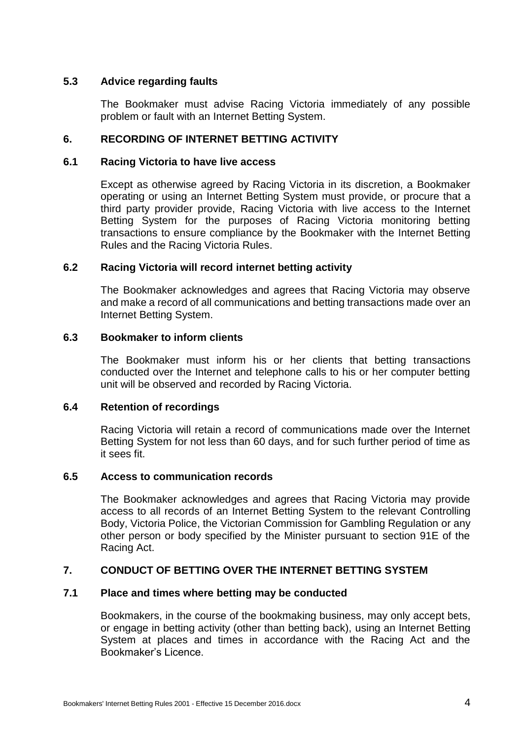# **5.3 Advice regarding faults**

The Bookmaker must advise Racing Victoria immediately of any possible problem or fault with an Internet Betting System.

#### **6. RECORDING OF INTERNET BETTING ACTIVITY**

#### **6.1 Racing Victoria to have live access**

Except as otherwise agreed by Racing Victoria in its discretion, a Bookmaker operating or using an Internet Betting System must provide, or procure that a third party provider provide, Racing Victoria with live access to the Internet Betting System for the purposes of Racing Victoria monitoring betting transactions to ensure compliance by the Bookmaker with the Internet Betting Rules and the Racing Victoria Rules.

#### **6.2 Racing Victoria will record internet betting activity**

The Bookmaker acknowledges and agrees that Racing Victoria may observe and make a record of all communications and betting transactions made over an Internet Betting System.

#### **6.3 Bookmaker to inform clients**

The Bookmaker must inform his or her clients that betting transactions conducted over the Internet and telephone calls to his or her computer betting unit will be observed and recorded by Racing Victoria.

#### **6.4 Retention of recordings**

Racing Victoria will retain a record of communications made over the Internet Betting System for not less than 60 days, and for such further period of time as it sees fit.

### <span id="page-6-0"></span>**6.5 Access to communication records**

The Bookmaker acknowledges and agrees that Racing Victoria may provide access to all records of an Internet Betting System to the relevant Controlling Body, Victoria Police, the Victorian Commission for Gambling Regulation or any other person or body specified by the Minister pursuant to section 91E of the Racing Act.

# **7. CONDUCT OF BETTING OVER THE INTERNET BETTING SYSTEM**

#### **7.1 Place and times where betting may be conducted**

Bookmakers, in the course of the bookmaking business, may only accept bets, or engage in betting activity (other than betting back), using an Internet Betting System at places and times in accordance with the Racing Act and the Bookmaker's Licence.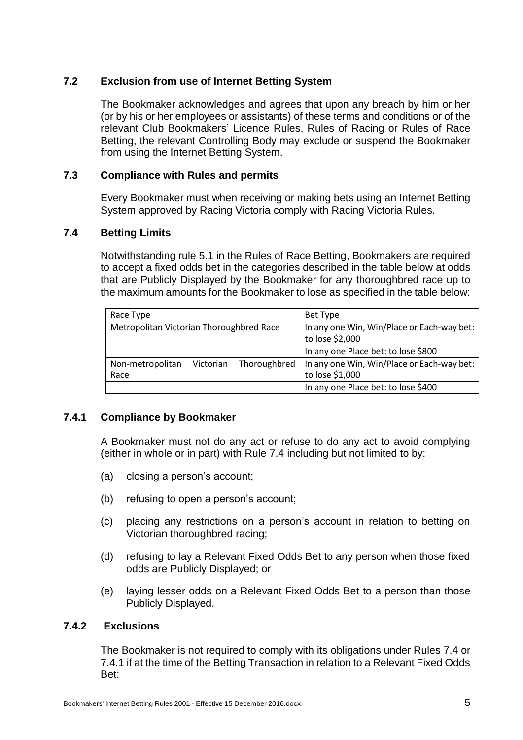# **7.2 Exclusion from use of Internet Betting System**

The Bookmaker acknowledges and agrees that upon any breach by him or her (or by his or her employees or assistants) of these terms and conditions or of the relevant Club Bookmakers' Licence Rules, Rules of Racing or Rules of Race Betting, the relevant Controlling Body may exclude or suspend the Bookmaker from using the Internet Betting System.

# **7.3 Compliance with Rules and permits**

Every Bookmaker must when receiving or making bets using an Internet Betting System approved by Racing Victoria comply with Racing Victoria Rules.

# **7.4 Betting Limits**

Notwithstanding rule 5.1 in the Rules of Race Betting, Bookmakers are required to accept a fixed odds bet in the categories described in the table below at odds that are Publicly Displayed by the Bookmaker for any thoroughbred race up to the maximum amounts for the Bookmaker to lose as specified in the table below:

| Race Type                                  | Bet Type                                   |
|--------------------------------------------|--------------------------------------------|
| Metropolitan Victorian Thoroughbred Race   | In any one Win, Win/Place or Each-way bet: |
|                                            | to lose \$2,000                            |
|                                            | In any one Place bet: to lose \$800        |
| Thoroughbred<br>Non-metropolitan Victorian | In any one Win, Win/Place or Each-way bet: |
| Race                                       | to lose \$1,000                            |
|                                            | In any one Place bet: to lose \$400        |

# **7.4.1 Compliance by Bookmaker**

A Bookmaker must not do any act or refuse to do any act to avoid complying (either in whole or in part) with Rule 7.4 including but not limited to by:

- (a) closing a person's account;
- (b) refusing to open a person's account;
- (c) placing any restrictions on a person's account in relation to betting on Victorian thoroughbred racing;
- (d) refusing to lay a Relevant Fixed Odds Bet to any person when those fixed odds are Publicly Displayed; or
- (e) laying lesser odds on a Relevant Fixed Odds Bet to a person than those Publicly Displayed.

# **7.4.2 Exclusions**

The Bookmaker is not required to comply with its obligations under Rules 7.4 or 7.4.1 if at the time of the Betting Transaction in relation to a Relevant Fixed Odds Bet: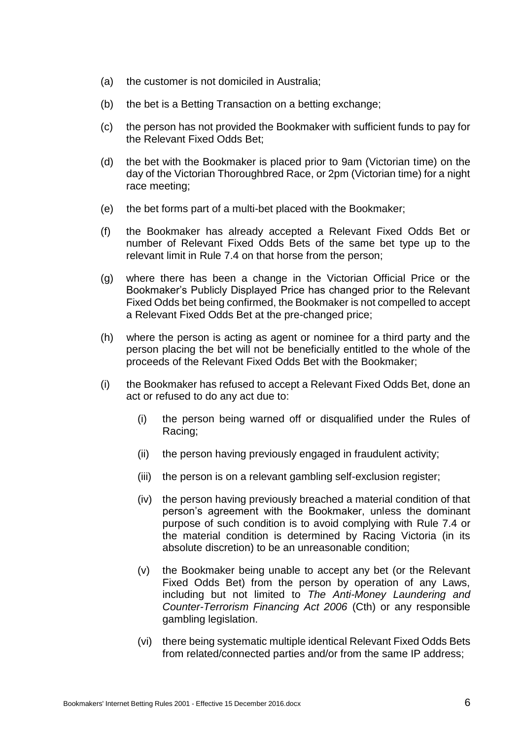- (a) the customer is not domiciled in Australia;
- (b) the bet is a Betting Transaction on a betting exchange;
- (c) the person has not provided the Bookmaker with sufficient funds to pay for the Relevant Fixed Odds Bet;
- (d) the bet with the Bookmaker is placed prior to 9am (Victorian time) on the day of the Victorian Thoroughbred Race, or 2pm (Victorian time) for a night race meeting;
- (e) the bet forms part of a multi-bet placed with the Bookmaker;
- (f) the Bookmaker has already accepted a Relevant Fixed Odds Bet or number of Relevant Fixed Odds Bets of the same bet type up to the relevant limit in Rule 7.4 on that horse from the person;
- (g) where there has been a change in the Victorian Official Price or the Bookmaker's Publicly Displayed Price has changed prior to the Relevant Fixed Odds bet being confirmed, the Bookmaker is not compelled to accept a Relevant Fixed Odds Bet at the pre-changed price;
- (h) where the person is acting as agent or nominee for a third party and the person placing the bet will not be beneficially entitled to the whole of the proceeds of the Relevant Fixed Odds Bet with the Bookmaker;
- (i) the Bookmaker has refused to accept a Relevant Fixed Odds Bet, done an act or refused to do any act due to:
	- (i) the person being warned off or disqualified under the Rules of Racing;
	- (ii) the person having previously engaged in fraudulent activity;
	- (iii) the person is on a relevant gambling self-exclusion register;
	- (iv) the person having previously breached a material condition of that person's agreement with the Bookmaker, unless the dominant purpose of such condition is to avoid complying with Rule 7.4 or the material condition is determined by Racing Victoria (in its absolute discretion) to be an unreasonable condition;
	- (v) the Bookmaker being unable to accept any bet (or the Relevant Fixed Odds Bet) from the person by operation of any Laws, including but not limited to *The Anti-Money Laundering and Counter-Terrorism Financing Act 2006* (Cth) or any responsible gambling legislation.
	- (vi) there being systematic multiple identical Relevant Fixed Odds Bets from related/connected parties and/or from the same IP address;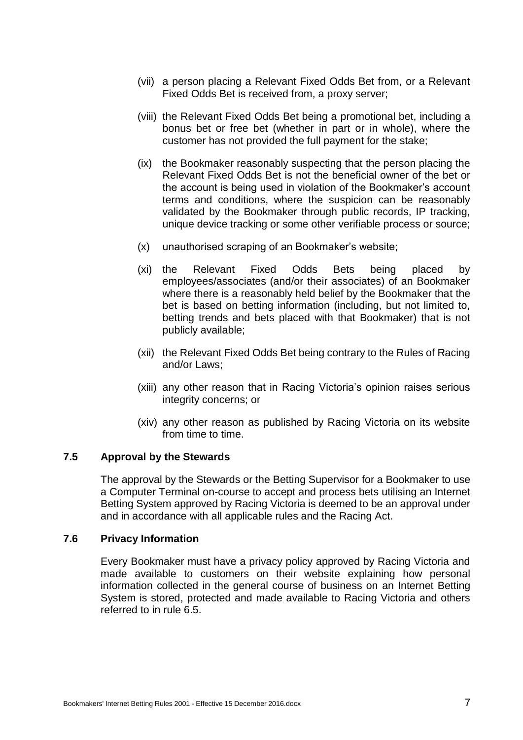- (vii) a person placing a Relevant Fixed Odds Bet from, or a Relevant Fixed Odds Bet is received from, a proxy server;
- (viii) the Relevant Fixed Odds Bet being a promotional bet, including a bonus bet or free bet (whether in part or in whole), where the customer has not provided the full payment for the stake;
- (ix) the Bookmaker reasonably suspecting that the person placing the Relevant Fixed Odds Bet is not the beneficial owner of the bet or the account is being used in violation of the Bookmaker's account terms and conditions, where the suspicion can be reasonably validated by the Bookmaker through public records, IP tracking, unique device tracking or some other verifiable process or source;
- (x) unauthorised scraping of an Bookmaker's website;
- (xi) the Relevant Fixed Odds Bets being placed by employees/associates (and/or their associates) of an Bookmaker where there is a reasonably held belief by the Bookmaker that the bet is based on betting information (including, but not limited to, betting trends and bets placed with that Bookmaker) that is not publicly available;
- (xii) the Relevant Fixed Odds Bet being contrary to the Rules of Racing and/or Laws;
- (xiii) any other reason that in Racing Victoria's opinion raises serious integrity concerns; or
- (xiv) any other reason as published by Racing Victoria on its website from time to time.

#### **7.5 Approval by the Stewards**

The approval by the Stewards or the Betting Supervisor for a Bookmaker to use a Computer Terminal on-course to accept and process bets utilising an Internet Betting System approved by Racing Victoria is deemed to be an approval under and in accordance with all applicable rules and the Racing Act.

#### **7.6 Privacy Information**

Every Bookmaker must have a privacy policy approved by Racing Victoria and made available to customers on their website explaining how personal information collected in the general course of business on an Internet Betting System is stored, protected and made available to Racing Victoria and others referred to in rule [6.5.](#page-6-0)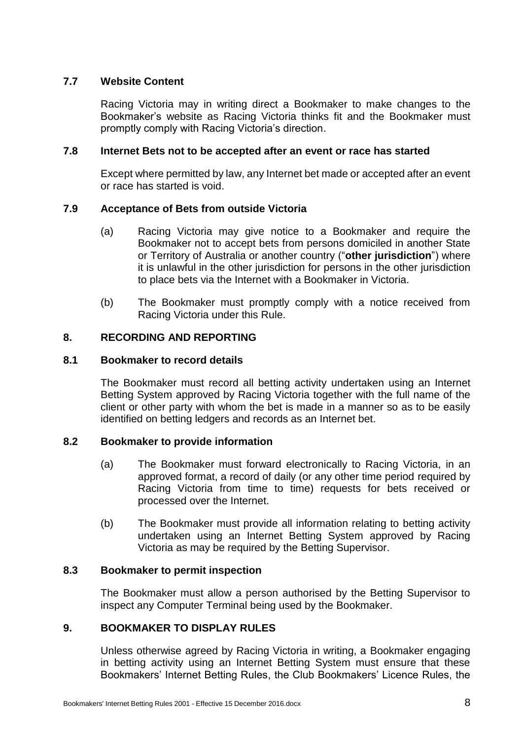# **7.7 Website Content**

Racing Victoria may in writing direct a Bookmaker to make changes to the Bookmaker's website as Racing Victoria thinks fit and the Bookmaker must promptly comply with Racing Victoria's direction.

# <span id="page-10-0"></span>**7.8 Internet Bets not to be accepted after an event or race has started**

Except where permitted by law, any Internet bet made or accepted after an event or race has started is void.

# **7.9 Acceptance of Bets from outside Victoria**

- (a) Racing Victoria may give notice to a Bookmaker and require the Bookmaker not to accept bets from persons domiciled in another State or Territory of Australia or another country ("**other jurisdiction**") where it is unlawful in the other jurisdiction for persons in the other jurisdiction to place bets via the Internet with a Bookmaker in Victoria.
- (b) The Bookmaker must promptly comply with a notice received from Racing Victoria under this Rule.

# **8. RECORDING AND REPORTING**

# **8.1 Bookmaker to record details**

The Bookmaker must record all betting activity undertaken using an Internet Betting System approved by Racing Victoria together with the full name of the client or other party with whom the bet is made in a manner so as to be easily identified on betting ledgers and records as an Internet bet.

# **8.2 Bookmaker to provide information**

- (a) The Bookmaker must forward electronically to Racing Victoria, in an approved format, a record of daily (or any other time period required by Racing Victoria from time to time) requests for bets received or processed over the Internet.
- (b) The Bookmaker must provide all information relating to betting activity undertaken using an Internet Betting System approved by Racing Victoria as may be required by the Betting Supervisor.

#### **8.3 Bookmaker to permit inspection**

The Bookmaker must allow a person authorised by the Betting Supervisor to inspect any Computer Terminal being used by the Bookmaker.

# **9. BOOKMAKER TO DISPLAY RULES**

Unless otherwise agreed by Racing Victoria in writing, a Bookmaker engaging in betting activity using an Internet Betting System must ensure that these Bookmakers' Internet Betting Rules, the Club Bookmakers' Licence Rules, the